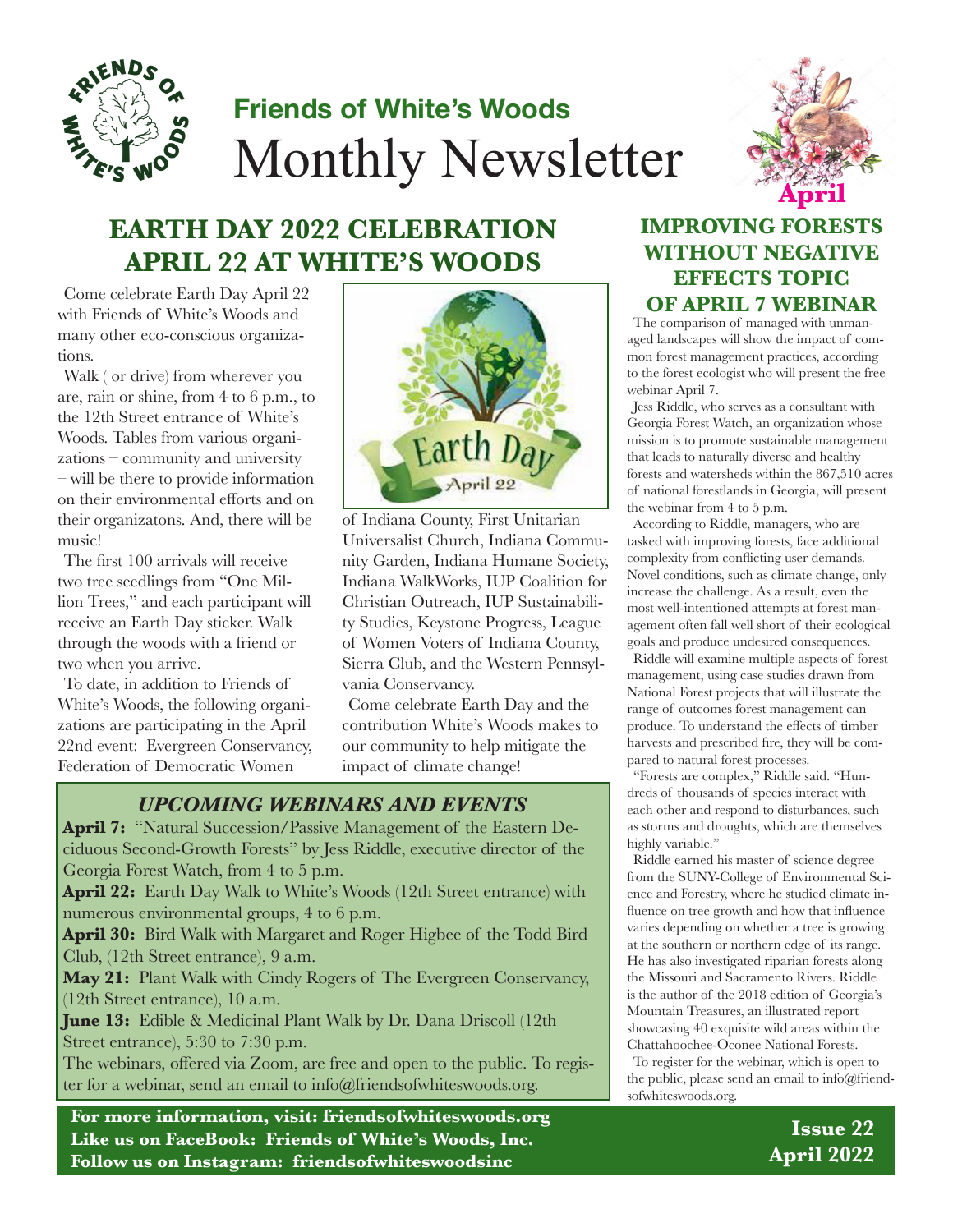

# **Friends of White's Woods** Monthly Newsletter



# **EARTH DAY 2022 CELEBRATION APRIL 22 AT WHITE'S WOODS**

Come celebrate Earth Day April 22 with Friends of White's Woods and many other eco-conscious organizations.

Walk ( or drive) from wherever you are, rain or shine, from 4 to 6 p.m., to the 12th Street entrance of White's Woods. Tables from various organizations – community and university – will be there to provide information on their environmental efforts and on their organizatons. And, there will be music!

The first 100 arrivals will receive two tree seedlings from "One Million Trees," and each participant will receive an Earth Day sticker. Walk through the woods with a friend or two when you arrive.

To date, in addition to Friends of White's Woods, the following organizations are participating in the April 22nd event: Evergreen Conservancy, Federation of Democratic Women



of Indiana County, First Unitarian Universalist Church, Indiana Community Garden, Indiana Humane Society, Indiana WalkWorks, IUP Coalition for Christian Outreach, IUP Sustainability Studies, Keystone Progress, League of Women Voters of Indiana County, Sierra Club, and the Western Pennsylvania Conservancy.

Come celebrate Earth Day and the contribution White's Woods makes to our community to help mitigate the impact of climate change!

### *UPCOMING WEBINARS AND EVENTS*

April 7: "Natural Succession/Passive Management of the Eastern Deciduous Second-Growth Forests" by Jess Riddle, executive director of the Georgia Forest Watch, from 4 to 5 p.m.

**April 22:** Earth Day Walk to White's Woods (12th Street entrance) with numerous environmental groups, 4 to 6 p.m.

**April 30:** Bird Walk with Margaret and Roger Higbee of the Todd Bird Club, (12th Street entrance), 9 a.m.

**May 21:** Plant Walk with Cindy Rogers of The Evergreen Conservancy, (12th Street entrance), 10 a.m.

**June 13:** Edible & Medicinal Plant Walk by Dr. Dana Driscoll (12th Street entrance), 5:30 to 7:30 p.m.

The webinars, offered via Zoom, are free and open to the public. To register for a webinar, send an email to info@friendsofwhiteswoods.org.

**For more information, visit: friendsofwhiteswoods.org Like us on FaceBook: Friends of White's Woods, Inc. Follow us on Instagram: friendsofwhiteswoodsinc**

### **IMPROVING FORESTS WITHOUT NEGATIVE EFFECTS TOPIC OF APRIL 7 WEBINAR**

The comparison of managed with unmanaged landscapes will show the impact of common forest management practices, according to the forest ecologist who will present the free webinar April 7.

Jess Riddle, who serves as a consultant with Georgia Forest Watch, an organization whose mission is to promote sustainable management that leads to naturally diverse and healthy forests and watersheds within the 867,510 acres of national forestlands in Georgia, will present the webinar from 4 to 5 p.m.

According to Riddle, managers, who are tasked with improving forests, face additional complexity from conflicting user demands. Novel conditions, such as climate change, only increase the challenge. As a result, even the most well-intentioned attempts at forest management often fall well short of their ecological goals and produce undesired consequences.

Riddle will examine multiple aspects of forest management, using case studies drawn from National Forest projects that will illustrate the range of outcomes forest management can produce. To understand the effects of timber harvests and prescribed fire, they will be compared to natural forest processes.

"Forests are complex," Riddle said. "Hundreds of thousands of species interact with each other and respond to disturbances, such as storms and droughts, which are themselves highly variable."

Riddle earned his master of science degree from the SUNY-College of Environmental Science and Forestry, where he studied climate influence on tree growth and how that influence varies depending on whether a tree is growing at the southern or northern edge of its range. He has also investigated riparian forests along the Missouri and Sacramento Rivers. Riddle is the author of the 2018 edition of Georgia's Mountain Treasures, an illustrated report showcasing 40 exquisite wild areas within the Chattahoochee-Oconee National Forests.

To register for the webinar, which is open to the public, please send an email to info@friendsofwhiteswoods.org.

> **Issue 22 April 2022**